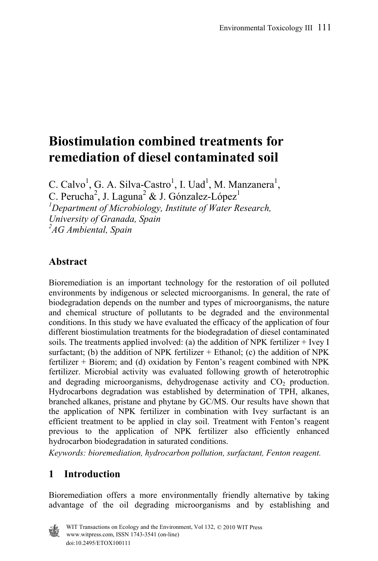# **Biostimulation combined treatments for remediation of diesel contaminated soil**

C. Calvo<sup>1</sup>, G. A. Silva-Castro<sup>1</sup>, I. Uad<sup>1</sup>, M. Manzanera<sup>1</sup>, C. Perucha<sup>2</sup>, J. Laguna<sup>2</sup> & J. Gónzalez-López<sup>1</sup> *1 Department of Microbiology, Institute of Water Research, University of Granada, Spain 2 AG Ambiental, Spain* 

# **Abstract**

Bioremediation is an important technology for the restoration of oil polluted environments by indigenous or selected microorganisms. In general, the rate of biodegradation depends on the number and types of microorganisms, the nature and chemical structure of pollutants to be degraded and the environmental conditions. In this study we have evaluated the efficacy of the application of four different biostimulation treatments for the biodegradation of diesel contaminated soils. The treatments applied involved: (a) the addition of NPK fertilizer + Ivey I surfactant; (b) the addition of NPK fertilizer  $+$  Ethanol; (c) the addition of NPK fertilizer + Biorem; and (d) oxidation by Fenton's reagent combined with NPK fertilizer. Microbial activity was evaluated following growth of heterotrophic and degrading microorganisms, dehydrogenase activity and  $CO<sub>2</sub>$  production. Hydrocarbons degradation was established by determination of TPH, alkanes, branched alkanes, pristane and phytane by GC/MS. Our results have shown that the application of NPK fertilizer in combination with Ivey surfactant is an efficient treatment to be applied in clay soil. Treatment with Fenton's reagent previous to the application of NPK fertilizer also efficiently enhanced hydrocarbon biodegradation in saturated conditions.

*Keywords: bioremediation, hydrocarbon pollution, surfactant, Fenton reagent.* 

# **1 Introduction**

Bioremediation offers a more environmentally friendly alternative by taking advantage of the oil degrading microorganisms and by establishing and

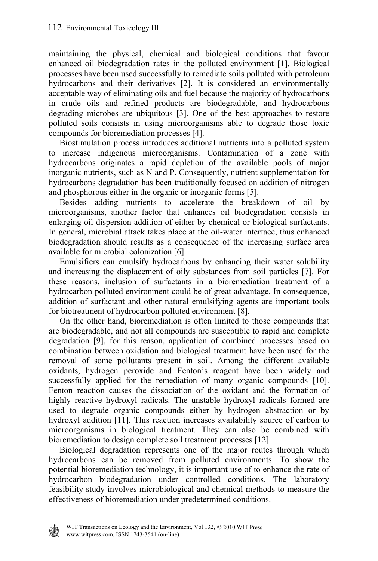maintaining the physical, chemical and biological conditions that favour enhanced oil biodegradation rates in the polluted environment [1]. Biological processes have been used successfully to remediate soils polluted with petroleum hydrocarbons and their derivatives [2]. It is considered an environmentally acceptable way of eliminating oils and fuel because the majority of hydrocarbons in crude oils and refined products are biodegradable, and hydrocarbons degrading microbes are ubiquitous [3]. One of the best approaches to restore polluted soils consists in using microorganisms able to degrade those toxic compounds for bioremediation processes [4].

 Biostimulation process introduces additional nutrients into a polluted system to increase indigenous microorganisms. Contamination of a zone with hydrocarbons originates a rapid depletion of the available pools of major inorganic nutrients, such as N and P. Consequently, nutrient supplementation for hydrocarbons degradation has been traditionally focused on addition of nitrogen and phosphorous either in the organic or inorganic forms [5].

 Besides adding nutrients to accelerate the breakdown of oil by microorganisms, another factor that enhances oil biodegradation consists in enlarging oil dispersion addition of either by chemical or biological surfactants. In general, microbial attack takes place at the oil-water interface, thus enhanced biodegradation should results as a consequence of the increasing surface area available for microbial colonization [6].

 Emulsifiers can emulsify hydrocarbons by enhancing their water solubility and increasing the displacement of oily substances from soil particles [7]. For these reasons, inclusion of surfactants in a bioremediation treatment of a hydrocarbon polluted environment could be of great advantage. In consequence, addition of surfactant and other natural emulsifying agents are important tools for biotreatment of hydrocarbon polluted environment [8].

 On the other hand, bioremediation is often limited to those compounds that are biodegradable, and not all compounds are susceptible to rapid and complete degradation [9], for this reason, application of combined processes based on combination between oxidation and biological treatment have been used for the removal of some pollutants present in soil. Among the different available oxidants, hydrogen peroxide and Fenton's reagent have been widely and successfully applied for the remediation of many organic compounds [10]. Fenton reaction causes the dissociation of the oxidant and the formation of highly reactive hydroxyl radicals. The unstable hydroxyl radicals formed are used to degrade organic compounds either by hydrogen abstraction or by hydroxyl addition [11]. This reaction increases availability source of carbon to microorganisms in biological treatment. They can also be combined with bioremediation to design complete soil treatment processes [12].

 Biological degradation represents one of the major routes through which hydrocarbons can be removed from polluted environments. To show the potential bioremediation technology, it is important use of to enhance the rate of hydrocarbon biodegradation under controlled conditions. The laboratory feasibility study involves microbiological and chemical methods to measure the effectiveness of bioremediation under predetermined conditions.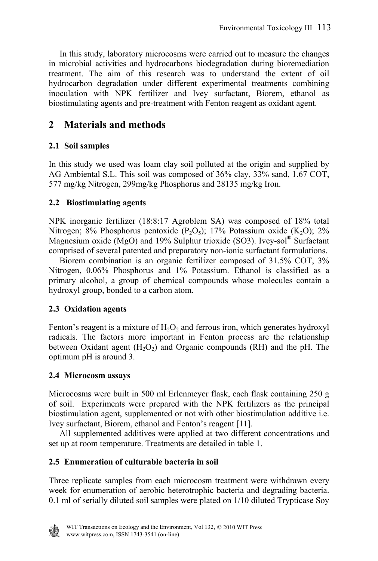In this study, laboratory microcosms were carried out to measure the changes in microbial activities and hydrocarbons biodegradation during bioremediation treatment. The aim of this research was to understand the extent of oil hydrocarbon degradation under different experimental treatments combining inoculation with NPK fertilizer and Ivey surfactant, Biorem, ethanol as biostimulating agents and pre-treatment with Fenton reagent as oxidant agent.

# **2 Materials and methods**

#### **2.1 Soil samples**

In this study we used was loam clay soil polluted at the origin and supplied by AG Ambiental S.L. This soil was composed of 36% clay, 33% sand, 1.67 COT, 577 mg/kg Nitrogen, 299mg/kg Phosphorus and 28135 mg/kg Iron.

#### **2.2 Biostimulating agents**

NPK inorganic fertilizer (18:8:17 Agroblem SA) was composed of 18% total Nitrogen; 8% Phosphorus pentoxide  $(P_2O_5)$ ; 17% Potassium oxide  $(K_2O)$ ; 2% Magnesium oxide (MgO) and 19% Sulphur trioxide (SO3). Ivey-sol<sup>®</sup> Surfactant comprised of several patented and preparatory non-ionic surfactant formulations.

 Biorem combination is an organic fertilizer composed of 31.5% COT, 3% Nitrogen, 0.06% Phosphorus and 1% Potassium. Ethanol is classified as a primary alcohol, a group of chemical compounds whose molecules contain a hydroxyl group, bonded to a carbon atom.

#### **2.3 Oxidation agents**

Fenton's reagent is a mixture of  $H_2O_2$  and ferrous iron, which generates hydroxyl radicals. The factors more important in Fenton process are the relationship between Oxidant agent  $(H_2O_2)$  and Organic compounds (RH) and the pH. The optimum pH is around 3.

#### **2.4 Microcosm assays**

Microcosms were built in 500 ml Erlenmeyer flask, each flask containing 250 g of soil. Experiments were prepared with the NPK fertilizers as the principal biostimulation agent, supplemented or not with other biostimulation additive i.e. Ivey surfactant, Biorem, ethanol and Fenton's reagent [11].

 All supplemented additives were applied at two different concentrations and set up at room temperature. Treatments are detailed in table 1.

#### **2.5 Enumeration of culturable bacteria in soil**

Three replicate samples from each microcosm treatment were withdrawn every week for enumeration of aerobic heterotrophic bacteria and degrading bacteria. 0.1 ml of serially diluted soil samples were plated on 1/10 diluted Trypticase Soy

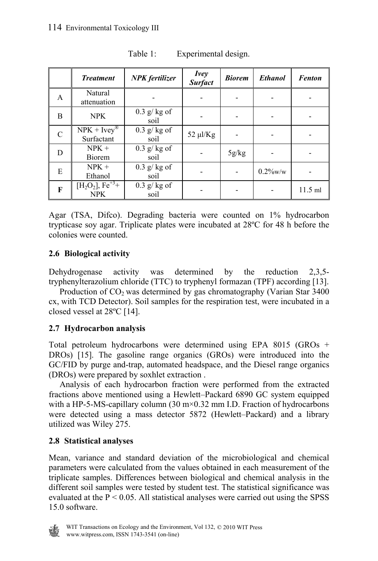|               | <b>Treatment</b>                            | <b>NPK</b> fertilizer | <i>Ivey</i><br><b>Surfact</b> | <b>Biorem</b> | <b>Ethanol</b> | <b>Fenton</b> |
|---------------|---------------------------------------------|-----------------------|-------------------------------|---------------|----------------|---------------|
| A             | Natural<br>attenuation                      |                       |                               |               |                |               |
| B             | <b>NPK</b>                                  | $0.3$ g/kg of<br>soil |                               |               |                |               |
| $\mathcal{C}$ | $NPK + Ivey^{\circledR}$<br>Surfactant      | $0.3$ g/kg of<br>soil | $52 \mu$ l/Kg                 |               |                |               |
| D             | $NPK +$<br>Biorem                           | $0.3$ g/kg of<br>soil |                               | 5g/kg         |                |               |
| E             | $NPK +$<br>Ethanol                          | $0.3$ g/kg of<br>soil |                               |               | $0.2\%$ w/w    |               |
| F             | $[H2O2], \overline{Fe^{+3}+}$<br><b>NPK</b> | $0.3$ g/kg of<br>soil |                               |               |                | $11.5$ ml     |

Table 1: Experimental design.

Agar (TSA, Difco). Degrading bacteria were counted on 1% hydrocarbon trypticase soy agar. Triplicate plates were incubated at 28ºC for 48 h before the colonies were counted.

#### **2.6 Biological activity**

Dehydrogenase activity was determined by the reduction 2,3,5 tryphenylterazolium chloride (TTC) to tryphenyl formazan (TPF) according [13].

Production of  $CO<sub>2</sub>$  was determined by gas chromatography (Varian Star 3400) cx, with TCD Detector). Soil samples for the respiration test, were incubated in a closed vessel at 28ºC [14].

#### **2.7 Hydrocarbon analysis**

Total petroleum hydrocarbons were determined using EPA 8015 (GROs + DROs) [15]. The gasoline range organics (GROs) were introduced into the GC/FID by purge and-trap, automated headspace, and the Diesel range organics (DROs) were prepared by soxhlet extraction .

 Analysis of each hydrocarbon fraction were performed from the extracted fractions above mentioned using a Hewlett–Packard 6890 GC system equipped with a HP-5-MS-capillary column  $(30 \text{ m} \times 0.32 \text{ mm } I.D.$  Fraction of hydrocarbons were detected using a mass detector 5872 (Hewlett–Packard) and a library utilized was Wiley 275.

#### **2.8 Statistical analyses**

Mean, variance and standard deviation of the microbiological and chemical parameters were calculated from the values obtained in each measurement of the triplicate samples. Differences between biological and chemical analysis in the different soil samples were tested by student test. The statistical significance was evaluated at the  $P \le 0.05$ . All statistical analyses were carried out using the SPSS 15.0 software.

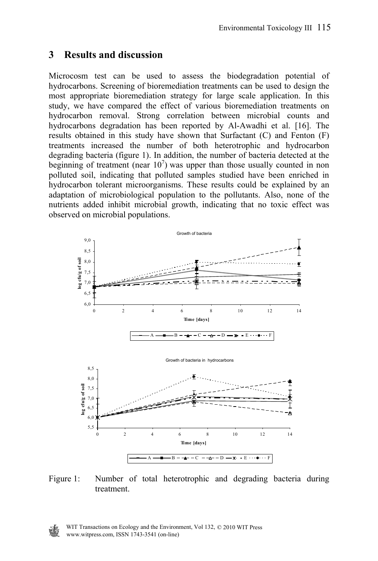# **3 Results and discussion**

Microcosm test can be used to assess the biodegradation potential of hydrocarbons. Screening of bioremediation treatments can be used to design the most appropriate bioremediation strategy for large scale application. In this study, we have compared the effect of various bioremediation treatments on hydrocarbon removal. Strong correlation between microbial counts and hydrocarbons degradation has been reported by Al-Awadhi et al. [16]. The results obtained in this study have shown that Surfactant (C) and Fenton (F) treatments increased the number of both heterotrophic and hydrocarbon degrading bacteria (figure 1). In addition, the number of bacteria detected at the beginning of treatment (near  $10<sup>7</sup>$ ) was upper than those usually counted in non polluted soil, indicating that polluted samples studied have been enriched in hydrocarbon tolerant microorganisms. These results could be explained by an adaptation of microbiological population to the pollutants. Also, none of the nutrients added inhibit microbial growth, indicating that no toxic effect was observed on microbial populations.



Figure 1: Number of total heterotrophic and degrading bacteria during treatment.

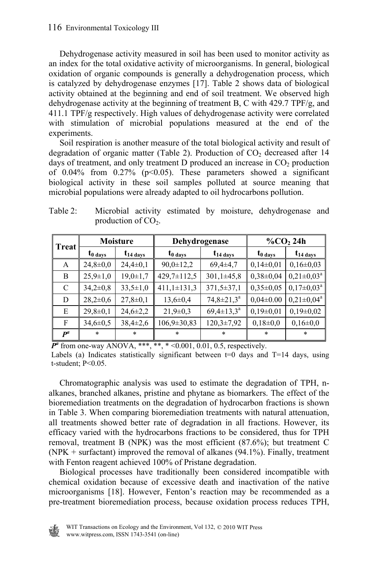Dehydrogenase activity measured in soil has been used to monitor activity as an index for the total oxidative activity of microorganisms. In general, biological oxidation of organic compounds is generally a dehydrogenation process, which is catalyzed by dehydrogenase enzymes [17]. Table 2 shows data of biological activity obtained at the beginning and end of soil treatment. We observed high dehydrogenase activity at the beginning of treatment B, C with 429.7 TPF/g, and 411.1 TPF/g respectively. High values of dehydrogenase activity were correlated with stimulation of microbial populations measured at the end of the experiments.

 Soil respiration is another measure of the total biological activity and result of degradation of organic matter (Table 2). Production of  $CO<sub>2</sub>$  decreased after 14 days of treatment, and only treatment D produced an increase in  $CO<sub>2</sub>$  production of 0.04% from 0.27% ( $p<0.05$ ). These parameters showed a significant biological activity in these soil samples polluted at source meaning that microbial populations were already adapted to oil hydrocarbons pollution.

| <b>Treat</b> | <b>Moisture</b>      |                | Dehydrogenase        |                   | $\%$ CO <sub>2</sub> 24h |                       |  |
|--------------|----------------------|----------------|----------------------|-------------------|--------------------------|-----------------------|--|
|              | $t_{0 \text{ days}}$ | $t_{14}$ days  | $t_{0 \text{ days}}$ | $t_{14}$ days     | $t_{0 \text{ days}}$     | $t_{14 \text{ days}}$ |  |
| A            | $24,8 \pm 0,0$       | $24,4\pm0,1$   | $90,0 \pm 12,2$      | $69,4\pm4,7$      | $0,14\pm0,01$            | $0,16\pm0,03$         |  |
| B            | $25,9 \pm 1,0$       | $19,0 \pm 1,7$ | 429,7±112,5          | $301,1\pm 45,8$   | $0,38\pm0,04$            | $0,21 \pm 0.03^a$     |  |
| C            | $34,2{\pm}0,8$       | $33,5 \pm 1,0$ | $411,1\pm131,3$      | 371,5±37,1        | $0,35\pm0,05$            | $0,17\pm0,03^{\rm a}$ |  |
| D            | $28,2\pm0,6$         | $27,8 \pm 0.1$ | $13,6 \pm 0,4$       | $74,8 \pm 21,3^a$ | $0.04 \pm 0.00$          | $0,21 \pm 0,04^a$     |  |
| E            | $29,8 \pm 0,1$       | $24,6 \pm 2,2$ | $21,9\pm0,3$         | $69,4 \pm 13,3^a$ | $0,19\pm0,01$            | $0,19\pm0,02$         |  |
| F            | $34,6 \pm 0.5$       | $38,4\pm2,6$   | 106,9±30,83          | $120,3\pm7,92$    | $0,18\pm0,0$             | $0,16\pm0,0$          |  |
| $\bm{P}^a$   | $\ast$               | *              | *                    | *                 | $\ast$                   | *                     |  |

Table 2: Microbial activity estimated by moisture, dehydrogenase and production of  $CO<sub>2</sub>$ .

 $P^a$  from one-way ANOVA, \*\*\*, \*\*, \* < 0.001, 0.01, 0.5, respectively. Labels (a) Indicates statistically significant between  $t=0$  days and T=14 days, using t-student; P<0.05.

 Chromatographic analysis was used to estimate the degradation of TPH, nalkanes, branched alkanes, pristine and phytane as biomarkers. The effect of the bioremediation treatments on the degradation of hydrocarbon fractions is shown in Table 3. When comparing bioremediation treatments with natural attenuation, all treatments showed better rate of degradation in all fractions. However, its efficacy varied with the hydrocarbons fractions to be considered, thus for TPH removal, treatment B (NPK) was the most efficient (87.6%); but treatment C (NPK + surfactant) improved the removal of alkanes  $(94.1\%)$ . Finally, treatment with Fenton reagent achieved 100% of Pristane degradation.

 Biological processes have traditionally been considered incompatible with chemical oxidation because of excessive death and inactivation of the native microorganisms [18]. However, Fenton's reaction may be recommended as a pre-treatment bioremediation process, because oxidation process reduces TPH,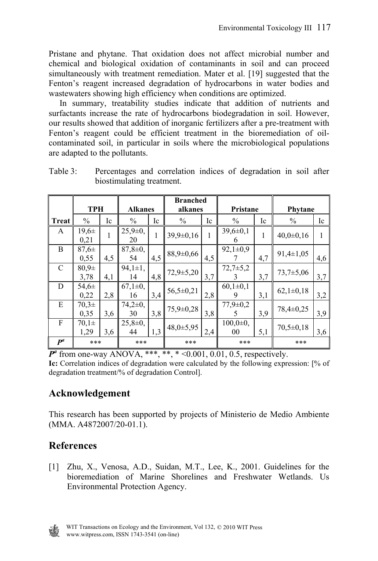Pristane and phytane. That oxidation does not affect microbial number and chemical and biological oxidation of contaminants in soil and can proceed simultaneously with treatment remediation. Mater et al. [19] suggested that the Fenton's reagent increased degradation of hydrocarbons in water bodies and wastewaters showing high efficiency when conditions are optimized.

 In summary, treatability studies indicate that addition of nutrients and surfactants increase the rate of hydrocarbons biodegradation in soil. However, our results showed that addition of inorganic fertilizers after a pre-treatment with Fenton's reagent could be efficient treatment in the bioremediation of oilcontaminated soil, in particular in soils where the microbiological populations are adapted to the pollutants.

|              | <b>TPH</b>         |     | <b>Alkanes</b>      |     | <b>Branched</b><br>alkanes |     | Pristane             |     | Phytane         |     |
|--------------|--------------------|-----|---------------------|-----|----------------------------|-----|----------------------|-----|-----------------|-----|
| <b>Treat</b> | $\%$               | Ic  | $\%$                | Ic  | $\frac{0}{0}$              | Ic  | $\frac{0}{0}$        | Ic  | $\%$            | Ic  |
| A            | $19,6 \pm$<br>0,21 | 1   | $25,9 \pm 0,$<br>20 | 1   | $39.9 \pm 0.16$            |     | $39,6 \pm 0.1$<br>6  |     | $40,0{\pm}0,16$ | 1   |
| B            | $87.6 \pm$<br>0.55 | 4,5 | $87.8 \pm 0.$<br>54 | 4,5 | $88,9 \pm 0,66$            | 4,5 | $92,1\pm0.9$         | 4,7 | $91,4\pm1,05$   | 4,6 |
| C            | $80.9\pm$<br>3,78  | 4,1 | $94.1 \pm 1.$<br>14 | 4,8 | $72,9 \pm 5,20$            | 3,7 | $72,7+5,2$           | 3,7 | $73.7 \pm 5.06$ | 3,7 |
| D            | $54.6\pm$<br>0,22  | 2,8 | $67,1\pm0,$<br>16   | 3,4 | $56,5 \pm 0,21$            | 2,8 | $60,1\pm0,1$<br>9    | 3,1 | $62,1\pm0,18$   | 3,2 |
| E            | $70.3\pm$<br>0.35  | 3,6 | $74.2 \pm 0.$<br>30 | 3,8 | $75,9 \pm 0,28$            | 3,8 | $77.9 \pm 0.2$<br>5  | 3,9 | 78,4±0,25       | 3.9 |
| F            | $70.1\pm$<br>1,29  | 3,6 | $25,8 \pm 0,$<br>44 | 1,3 | $48,0+5,95$                | 2.4 | $100,0 \pm 0,$<br>00 | 5,1 | $70.5 \pm 0.18$ | 3,6 |
| $P^a$        | ***                |     | ***<br>***          |     | ***                        |     | ***                  |     |                 |     |

Table 3: Percentages and correlation indices of degradation in soil after biostimulating treatment.

 $P^{a}$  from one-way ANOVA, \*\*\*, \*\*, \* < 0.001, 0.01, 0.5, respectively. **Ic:** Correlation indices of degradation were calculated by the following expression: [% of degradation treatment/% of degradation Control].

# **Acknowledgement**

This research has been supported by projects of Ministerio de Medio Ambiente (MMA. A4872007/20-01.1).

# **References**

[1] Zhu, X., Venosa, A.D., Suidan, M.T., Lee, K., 2001. Guidelines for the bioremediation of Marine Shorelines and Freshwater Wetlands. Us Environmental Protection Agency.

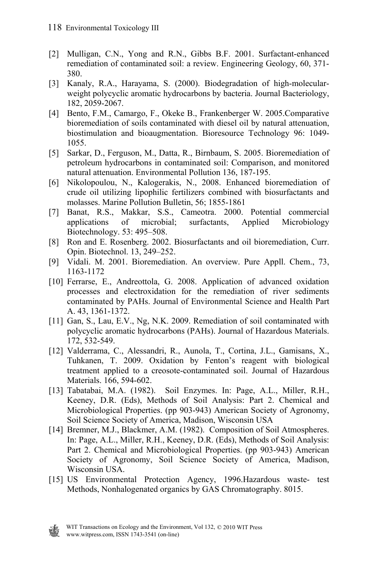- [2] Mulligan, C.N., Yong and R.N., Gibbs B.F. 2001. Surfactant-enhanced remediation of contaminated soil: a review. Engineering Geology, 60, 371- 380.
- [3] Kanaly, R.A., Harayama, S. (2000). Biodegradation of high-molecularweight polycyclic aromatic hydrocarbons by bacteria. Journal Bacteriology, 182, 2059-2067.
- [4] Bento, F.M., Camargo, F., Okeke B., Frankenberger W. 2005.Comparative bioremediation of soils contaminated with diesel oil by natural attenuation, biostimulation and bioaugmentation. Bioresource Technology 96: 1049- 1055.
- [5] Sarkar, D., Ferguson, M., Datta, R., Birnbaum, S. 2005. Bioremediation of petroleum hydrocarbons in contaminated soil: Comparison, and monitored natural attenuation. Environmental Pollution 136, 187-195.
- [6] Nikolopoulou, N., Kalogerakis, N., 2008. Enhanced bioremediation of crude oil utilizing lipophilic fertilizers combined with biosurfactants and molasses. Marine Pollution Bulletin, 56; 1855-1861
- [7] Banat, R.S., Makkar, S.S., Cameotra. 2000. Potential commercial applications of microbial; surfactants, Applied Microbiology Biotechnology. 53: 495–508.
- [8] Ron and E. Rosenberg. 2002. Biosurfactants and oil bioremediation, Curr. Opin. Biotechnol. 13, 249–252.
- [9] Vidali. M. 2001. Bioremediation. An overview. Pure Appll. Chem., 73, 1163-1172
- [10] Ferrarse, E., Andreottola, G. 2008. Application of advanced oxidation processes and electroxidation for the remediation of river sediments contaminated by PAHs. Journal of Environmental Science and Health Part A. 43, 1361-1372.
- [11] Gan, S., Lau, E.V., Ng, N.K. 2009. Remediation of soil contaminated with polycyclic aromatic hydrocarbons (PAHs). Journal of Hazardous Materials. 172, 532-549.
- [12] Valderrama, C., Alessandri, R., Aunola, T., Cortina, J.L., Gamisans, X., Tuhkanen, T. 2009. Oxidation by Fenton's reagent with biological treatment applied to a creosote-contaminated soil. Journal of Hazardous Materials. 166, 594-602.
- [13] Tabatabai, M.A. (1982). Soil Enzymes. In: Page, A.L., Miller, R.H., Keeney, D.R. (Eds), Methods of Soil Analysis: Part 2. Chemical and Microbiological Properties. (pp 903-943) American Society of Agronomy, Soil Science Society of America, Madison, Wisconsin USA
- [14] Bremner, M.J., Blackmer, A.M. (1982). Composition of Soil Atmospheres. In: Page, A.L., Miller, R.H., Keeney, D.R. (Eds), Methods of Soil Analysis: Part 2. Chemical and Microbiological Properties. (pp 903-943) American Society of Agronomy, Soil Science Society of America, Madison, Wisconsin USA.
- [15] US Environmental Protection Agency, 1996.Hazardous waste- test Methods, Nonhalogenated organics by GAS Chromatography. 8015.